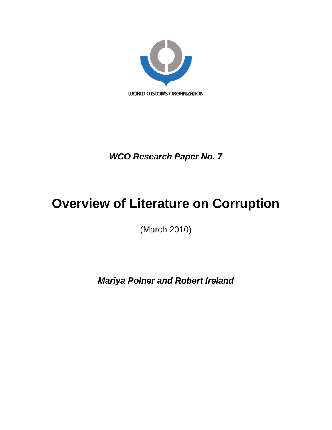

*WCO Research Paper No. 7* 

# **Overview of Literature on Corruption**

(March 2010)

*Mariya Polner and Robert Ireland*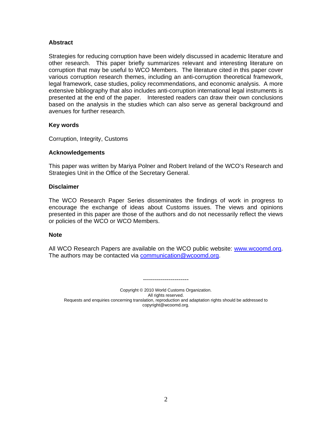### **Abstract**

Strategies for reducing corruption have been widely discussed in academic literature and other research. This paper briefly summarizes relevant and interesting literature on corruption that may be useful to WCO Members. The literature cited in this paper cover various corruption research themes, including an anti-corruption theoretical framework, legal framework, case studies, policy recommendations, and economic analysis. A more extensive bibliography that also includes anti-corruption international legal instruments is presented at the end of the paper. Interested readers can draw their own conclusions based on the analysis in the studies which can also serve as general background and avenues for further research.

#### **Key words**

Corruption, Integrity, Customs

#### **Acknowledgements**

This paper was written by Mariya Polner and Robert Ireland of the WCO's Research and Strategies Unit in the Office of the Secretary General.

#### **Disclaimer**

The WCO Research Paper Series disseminates the findings of work in progress to encourage the exchange of ideas about Customs issues. The views and opinions presented in this paper are those of the authors and do not necessarily reflect the views or policies of the WCO or WCO Members.

#### **Note**

All WCO Research Papers are available on the WCO public website: [www.wcoomd.org.](http://www.wcoomd.org/) The authors may be contacted via [communication@wcoomd.org.](mailto:communication@wcoomd.org)

Copyright © 2010 World Customs Organization. All rights reserved. Requests and enquiries concerning translation, reproduction and adaptation rights should be addressed to copyright@wcoomd.org.

-----------------------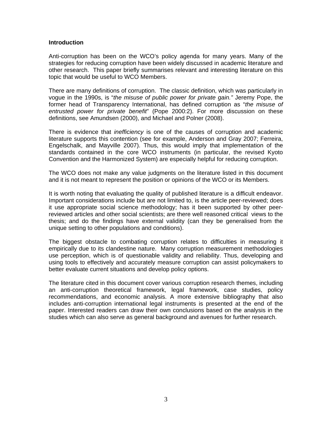#### **Introduction**

Anti-corruption has been on the WCO's policy agenda for many years. Many of the strategies for reducing corruption have been widely discussed in academic literature and other research. This paper briefly summarises relevant and interesting literature on this topic that would be useful to WCO Members.

There are many definitions of corruption. The classic definition, which was particularly in vogue in the 1990s, is "*the misuse of public power for private gain."* Jeremy Pope, the former head of Transparency International, has defined corruption as "*the misuse of entrusted power for private benefit*" (Pope 2000:2). For more discussion on these definitions, see Amundsen (2000), and Michael and Polner (2008).

There is evidence that *inefficiency* is one of the causes of corruption and academic literature supports this contention (see for example, Anderson and Gray 2007; Ferreira, Engelschalk, and Mayville 2007). Thus, this would imply that implementation of the standards contained in the core WCO instruments (in particular, the revised Kyoto Convention and the Harmonized System) are especially helpful for reducing corruption.

The WCO does not make any value judgments on the literature listed in this document and it is not meant to represent the position or opinions of the WCO or its Members.

It is worth noting that evaluating the quality of published literature is a difficult endeavor. Important considerations include but are not limited to, is the article peer-reviewed; does it use appropriate social science methodology; has it been supported by other peerreviewed articles and other social scientists; are there well reasoned critical views to the thesis; and do the findings have external validity (can they be generalised from the unique setting to other populations and conditions).

The biggest obstacle to combating corruption relates to difficulties in measuring it empirically due to its clandestine nature. Many corruption measurement methodologies use perception, which is of questionable validity and reliability. Thus, developing and using tools to effectively and accurately measure corruption can assist policymakers to better evaluate current situations and develop policy options.

The literature cited in this document cover various corruption research themes, including an anti-corruption theoretical framework, legal framework, case studies, policy recommendations, and economic analysis. A more extensive bibliography that also includes anti-corruption international legal instruments is presented at the end of the paper. Interested readers can draw their own conclusions based on the analysis in the studies which can also serve as general background and avenues for further research.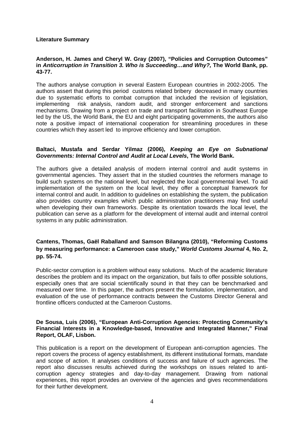#### **Literature Summary**

#### **Anderson, H. James and Cheryl W. Gray (2007), "Policies and Corruption Outcomes" in** *Anticorruption in Transition 3. Who is Succeeding…and Why?,* **The World Bank, pp. 43-77.**

The authors analyse corruption in several Eastern European countries in 2002-2005. The authors assert that during this period customs related bribery decreased in many countries due to systematic efforts to combat corruption that included the revision of legislation, implementing risk analysis, random audit, and stronger enforcement and sanctions mechanisms. Drawing from a project on trade and transport facilitation in Southeast Europe led by the US, the World Bank, the EU and eight participating governments, the authors also note a positive impact of international cooperation for streamlining procedures in these countries which they assert led to improve efficiency and lower corruption.

#### **Baltaci, Mustafa and Serdar Yilmaz (2006),** *Keeping an Eye on Subnational Governments: Internal Control and Audit at Local Levels***, The World Bank.**

The authors give a detailed analysis of modern internal control and audit systems in governmental agencies. They assert that in the studied countries the reformers manage to build such systems on the national level, but neglected the local governmental level. To aid implementation of the system on the local level, they offer a conceptual framework for internal control and audit. In addition to guidelines on establishing the system, the publication also provides country examples which public administration practitioners may find useful when developing their own frameworks. Despite its orientation towards the local level, the publication can serve as a platform for the development of internal audit and internal control systems in any public administration.

# **Cantens, Thomas, Gaël Raballand and Samson Bilangna (2010), "Reforming Customs by measuring performance: a Cameroon case study,"** *World Customs Journal* **4, No. 2, pp. 55-74.**

Public-sector corruption is a problem without easy solutions. Much of the academic literature describes the problem and its impact on the organization, but fails to offer possible solutions, especially ones that are social scientifically sound in that they can be benchmarked and measured over time. In this paper, the authors present the formulation, implementation, and evaluation of the use of performance contracts between the Customs Director General and frontline officers conducted at the Cameroon Customs.

## **De Sousa, Luis (2006), "European Anti-Corruption Agencies: Protecting Community's Financial Interests in a Knowledge-based, Innovative and Integrated Manner," Final Report, OLAF, Lisbon.**

This publication is a report on the development of European anti-corruption agencies. The report covers the process of agency establishment, its different institutional formats, mandate and scope of action. It analyses conditions of success and failure of such agencies. The report also discusses results achieved during the workshops on issues related to anticorruption agency strategies and day-to-day management. Drawing from national experiences, this report provides an overview of the agencies and gives recommendations for their further development.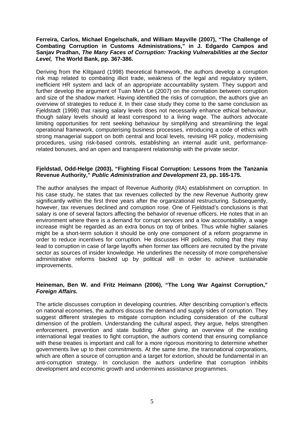#### **Ferreira, Carlos, Michael Engelschalk, and William Mayville (2007), "The Challenge of Combating Corruption in Customs Administrations," in J. Edgardo Campos and Sanjav Pradhan,** *The Many Faces of Corruption: Tracking Vulnerabilities at the Sector Level,* **The World Bank, pp. 367-386.**

Deriving from the Klitgaard (1998) theoretical framework, the authors develop a corruption risk map related to combating illicit trade, weakness of the legal and regulatory system, inefficient HR system and lack of an appropriate accountability system. They support and further develop the argument of Tuan Minh Le (2007) on the correlation between corruption and size of the shadow market. Having identified the risks of corruption, the authors give an overview of strategies to reduce it. In their case study they come to the same conclusion as Fjeldstadt (1998) that raising salary levels does not necessarily enhance ethical behaviour, though salary levels should at least correspond to a living wage. The authors advocate limiting opportunities for rent seeking behaviour by simplifying and streamlining the legal operational framework, computerising business processes, introducing a code of ethics with strong managerial support on both central and local levels, revising HR policy, modernising procedures, using risk-based controls, establishing an internal audit unit, performancerelated bonuses, and an open and transparent relationship with the private sector.

#### **Fjeldstad, Odd-Helge (2003), "Fighting Fiscal Corruption: Lessons from the Tanzania Revenue Authority,"** *Public Administration and Development* **23, pp. 165-175.**

The author analyses the impact of Revenue Authority (RA) establishment on corruption. In his case study, he states that tax revenues collected by the new Revenue Authority grew significantly within the first three years after the organizational restructuring. Subsequently, however, tax revenues declined and corruption rose. One of Fjeldstad's conclusions is that salary is one of several factors affecting the behavior of revenue officers. He notes that in an environment where there is a demand for corrupt services and a low accountability, a wage increase might be regarded as an extra bonus on top of bribes. Thus while higher salaries might be a short-term solution it should be only one component of a reform programme in order to reduce incentives for corruption. He discusses HR policies, noting that they may lead to corruption in case of large layoffs when former tax officers are recruited by the private sector as sources of insider knowledge. He underlines the necessity of more comprehensive administrative reforms backed up by political will in order to achieve sustainable improvements.

# **Heineman, Ben W. and Fritz Heimann (2006), "The Long War Against Corruption,"**  *Foreign Affairs.*

The article discusses corruption in developing countries. After describing corruption's effects on national economies, the authors discuss the demand and supply sides of corruption. They suggest different strategies to mitigate corruption including consideration of the cultural dimension of the problem. Understanding the cultural aspect, they argue, helps strengthen enforcement, prevention and state building. After giving an overview of the existing international legal treaties to fight corruption, the authors contend that ensuring compliance with these treaties is important and call for a more rigorous monitoring to determine whether governments live up to their commitments. At the same time, the transnational corporations, which are often a source of corruption and a target for extortion, should be fundamental in an anti-corruption strategy. In conclusion the authors underline that corruption inhibits development and economic growth and undermines assistance programmes.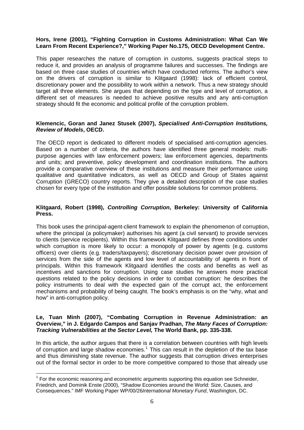### <span id="page-5-0"></span>**Hors, Irene (2001), "Fighting Corruption in Customs Administration: What Can We Learn From Recent Experience?," Working Paper No.175, OECD Development Centre.**

This paper researches the nature of corruption in customs, suggests practical steps to reduce it, and provides an analysis of programme failures and successes. The findings are based on three case studies of countries which have conducted reforms. The author's view on the drivers of corruption is similar to Klitgaard (1998): lack of efficient control, discretionary power and the possibility to work within a network. Thus a new strategy should target all three elements. She argues that depending on the type and level of corruption, a different set of measures is needed to achieve positive results and any anti-corruption strategy should fit the economic and political profile of the corruption problem.

## **Klemencic, Goran and Janez Stusek (2007),** *Specialised Anti-Corruption Institutions, Review of Models***, OECD.**

The OECD report is dedicated to different models of specialised anti-corruption agencies. Based on a number of criteria, the authors have identified three general models: multipurpose agencies with law enforcement powers; law enforcement agencies, departments and units; and preventive, policy development and coordination institutions. The authors provide a comparative overview of these institutions and measure their performance using qualitative and quantitative indicators, as well as OECD and Group of States against Corruption (GRECO) country reports. They give a detailed description of the case studies chosen for every type of the institution and offer possible solutions for common problems.

# **Klitgaard, Robert (1998),** *Controlling Corruption***, Berkeley: University of California Press.**

This book uses the principal-agent-client framework to explain the phenomenon of corruption, where the principal (a policymaker) authorises his agent (a civil servant) to provide services to clients (service recipients). Within this framework Klitgaard defines three conditions under which corruption is more likely to occur: a monopoly of power by agents (e.g. customs officers) over clients (e.g. traders/taxpayers); discretionary decision power over provision of services from the side of the agents and low level of accountability of agents in front of principals. Within this framework Klitgaard identifies the costs and benefits as well as incentives and sanctions for corruption. Using case studies he answers more practical questions related to the policy decisions in order to combat corruption: he describes the policy instruments to deal with the expected gain of the corrupt act, the enforcement mechanisms and probability of being caught. The book's emphasis is on the "why, what and how" in anti-corruption policy.

### **Le, Tuan Minh (2007), "Combating Corruption in Revenue Administration: an Overview," in J. Edgardo Campos and Sanjav Pradhan,** *The Many Faces of Corruption: Tracking Vulnerabilities at the Sector Level,* **The World Bank, pp. 335-338.**

In this article, the author argues that there is a correlation between countries with high levels of corruption and large shadow economies.<sup>[1](#page-5-0)</sup> This can result in the depletion of the tax base and thus diminishing state revenue. The author suggests that corruption drives enterprises out of the formal sector in order to be more competitive compared to those that already use

1

 $1$  For the economic reasoning and econometric arguments supporting this equation see Schneider, Friedrich, and Dominik Enste (2000), "Shadow Economies around the World: Size, Causes, and Consequences." IMF Working Paper WP/00/26*International Monetary Fund*, Washington, DC.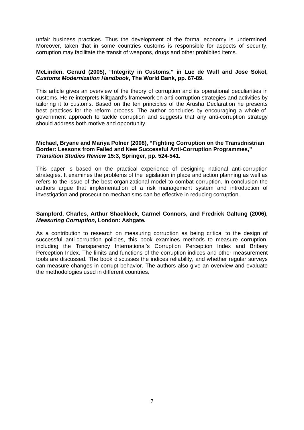unfair business practices. Thus the development of the formal economy is undermined. Moreover, taken that in some countries customs is responsible for aspects of security, corruption may facilitate the transit of weapons, drugs and other prohibited items.

#### **McLinden, Gerard (2005), "Integrity in Customs," in Luc de Wulf and Jose Sokol,**  *Customs Modernization Handbook***, The World Bank, pp. 67-89.**

This article gives an overview of the theory of corruption and its operational peculiarities in customs. He re-interprets Klitgaard's framework on anti-corruption strategies and activities by tailoring it to customs. Based on the ten principles of the Arusha Declaration he presents best practices for the reform process. The author concludes by encouraging a whole-ofgovernment approach to tackle corruption and suggests that any anti-corruption strategy should address both motive and opportunity.

### **Michael, Bryane and Mariya Polner (2008), "Fighting Corruption on the Transdnistrian Border: Lessons from Failed and New Successful Anti-Corruption Programmes,"**  *Transition Studies Review* **15:3, Springer, pp. 524-541***.*

This paper is based on the practical experience of designing national anti-corruption strategies. It examines the problems of the legislation in place and action planning as well as refers to the issue of the best organizational model to combat corruption. In conclusion the authors argue that implementation of a risk management system and introduction of investigation and prosecution mechanisms can be effective in reducing corruption.

# **Sampford, Charles, Arthur Shacklock, Carmel Connors, and Fredrick Galtung (2006),**  *Measuring Corruption***, London: Ashgate.**

As a contribution to research on measuring corruption as being critical to the design of successful anti-corruption policies, this book examines methods to measure corruption, including the Transparency International's Corruption Perception Index and Bribery Perception Index. The limits and functions of the corruption indices and other measurement tools are discussed. The book discusses the indices reliability, and whether regular surveys can measure changes in corrupt behavior. The authors also give an overview and evaluate the methodologies used in different countries.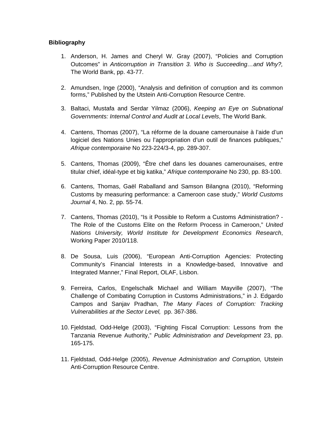# **Bibliography**

- 1. Anderson, H. James and Cheryl W. Gray (2007), "Policies and Corruption Outcomes" in *Anticorruption in Transition 3. Who is Succeeding…and Why?,* The World Bank, pp. 43-77.
- 2. Amundsen, Inge (2000), "Analysis and definition of corruption and its common forms," Published by the Utstein Anti-Corruption Resource Centre.
- 3. Baltaci, Mustafa and Serdar Yilmaz (2006), *Keeping an Eye on Subnational Governments: Internal Control and Audit at Local Levels*, The World Bank.
- 4. Cantens, Thomas (2007), "La réforme de la douane camerounaise à l'aide d'un logiciel des Nations Unies ou l'appropriation d'un outil de finances publiques," *Afrique contemporaine* No 223-224/3-4, pp. 289-307.
- 5. Cantens, Thomas (2009), "Être chef dans les douanes camerounaises, entre titular chief, idéal-type et big katika," *Afrique contemporaine* No 230, pp. 83-100.
- 6. Cantens, Thomas, Gaël Raballand and Samson Bilangna (2010), "Reforming Customs by measuring performance: a Cameroon case study," *World Customs Journal* 4, No. 2, pp. 55-74.
- 7. Cantens, Thomas (2010), "Is it Possible to Reform a Customs Administration? The Role of the Customs Elite on the Reform Process in Cameroon," *United Nations University, World Institute for Development Economics Research*, Working Paper 2010/118.
- 8. De Sousa, Luis (2006), "European Anti-Corruption Agencies: Protecting Community's Financial Interests in a Knowledge-based, Innovative and Integrated Manner," Final Report, OLAF, Lisbon.
- 9. Ferreira, Carlos, Engelschalk Michael and William Mayville (2007), "The Challenge of Combating Corruption in Customs Administrations," in J. Edgardo Campos and Sanjav Pradhan, *The Many Faces of Corruption: Tracking Vulnerabilities at the Sector Level,* pp. 367-386.
- 10. Fjeldstad, Odd-Helge (2003), "Fighting Fiscal Corruption: Lessons from the Tanzania Revenue Authority," *Public Administration and Development* 23, pp. 165-175.
- 11. Fjeldstad, Odd-Helge (2005), *Revenue Administration and Corruption,* Utstein Anti-Corruption Resource Centre.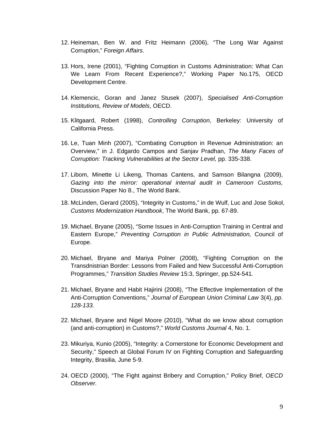- 12. Heineman, Ben W. and Fritz Heimann (2006), "The Long War Against Corruption," *Foreign Affairs.*
- 13. Hors, Irene (2001), "Fighting Corruption in Customs Administration: What Can We Learn From Recent Experience?," Working Paper No.175, OECD Development Centre.
- 14. Klemencic, Goran and Janez Stusek (2007), *Specialised Anti-Corruption Institutions, Review of Models*, OECD.
- 15. Klitgaard, Robert (1998), *Controlling Corruption*, Berkeley: University of California Press.
- 16. Le, Tuan Minh (2007), "Combating Corruption in Revenue Administration: an Overview," in J. Edgardo Campos and Sanjav Pradhan, *The Many Faces of Corruption: Tracking Vulnerabilities at the Sector Level,* pp. 335-338.
- 17. Libom, Minette Li Likeng, Thomas Cantens, and Samson Bilangna (2009), *Gazing into the mirror: operational internal audit in Cameroon Customs,* Discussion Paper No 8., The World Bank.
- 18. McLinden, Gerard (2005), "Integrity in Customs," in de Wulf, Luc and Jose Sokol, *Customs Modernization Handbook*, The World Bank, pp. 67-89.
- 19. Michael, Bryane (2005), "Some Issues in Anti-Corruption Training in Central and Eastern Europe," *Preventing Corruption in Public Administration,* Council of Europe.
- 20. Michael, Bryane and Mariya Polner (2008), "Fighting Corruption on the Transdnistrian Border: Lessons from Failed and New Successful Anti-Corruption Programmes," *Transition Studies Review* 15:3, Springer, pp.524-541*.*
- 21. Michael, Bryane and Habit Hajirini (2008), "The Effective Implementation of the Anti-Corruption Conventions," *Journal of European Union Criminal Law* 3(4), *pp. 128-133.*
- 22. Michael, Bryane and Nigel Moore (2010), "What do we know about corruption (and anti-corruption) in Customs?," *World Customs Journal* 4, No. 1.
- 23. Mikuriya, Kunio (2005), "Integrity: a Cornerstone for Economic Development and Security," Speech at Global Forum IV on Fighting Corruption and Safeguarding Integrity, Brasilia, June 5-9.
- 24. OECD (2000), "The Fight against Bribery and Corruption," Policy Brief, *OECD Observer.*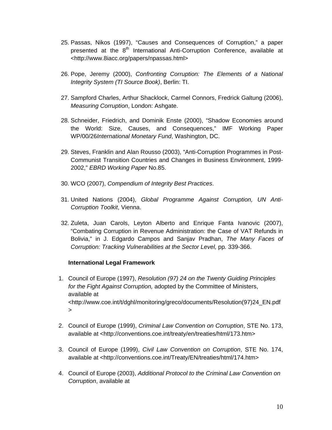- 25. Passas, Nikos (1997), "Causes and Consequences of Corruption," a paper presented at the 8<sup>th</sup> International Anti-Corruption Conference, available at <http://www.8iacc.org/papers/npassas.html>
- 26. Pope, Jeremy (2000), *Confronting Corruption: The Elements of a National Integrity System (TI Source Book)*, Berlin: TI.
- 27. Sampford Charles, Arthur Shacklock, Carmel Connors, Fredrick Galtung (2006), *Measuring Corruption*, London: Ashgate.
- 28. Schneider, Friedrich, and Dominik Enste (2000), "Shadow Economies around the World: Size, Causes, and Consequences," IMF Working Paper WP/00/26*International Monetary Fund*, Washington, DC.
- 29. Steves, Franklin and Alan Rousso (2003), "Anti-Corruption Programmes in Post-Communist Transition Countries and Changes in Business Environment, 1999- 2002," *EBRD Working Paper* No.85.
- 30. WCO (2007), *Compendium of Integrity Best Practices*.
- 31. United Nations (2004), *Global Programme Against Corruption, UN Anti-Corruption Toolkit*, Vienna.
- 32. Zuleta, Juan Carols, Leyton Alberto and Enrique Fanta Ivanovic (2007), "Combating Corruption in Revenue Administration: the Case of VAT Refunds in Bolivia," in J. Edgardo Campos and Sanjav Pradhan, *The Many Faces of Corruption: Tracking Vulnerabilities at the Sector Level, pp. 339-366.*

#### **International Legal Framework**

- 1. Council of Europe (1997), *Resolution (97) 24 on the Twenty Guiding Principles for the Fight Against Corruption,* adopted by the Committee of Ministers, available at <http://www.coe.int/t/dghl/monitoring/greco/documents/Resolution(97)24\_EN.pdf  $\geq$
- 2. Council of Europe (1999), *Criminal Law Convention on Corruption*, STE No. 173, available at <http://conventions.coe.int/treaty/en/treaties/html/173.htm>
- 3. Council of Europe (1999), *Civil Law Convention on Corruption*, STE No. 174, available at <http://conventions.coe.int/Treaty/EN/treaties/html/174.htm>
- 4. Council of Europe (2003), *Additional Protocol to the Criminal Law Convention on Corruption*, available at